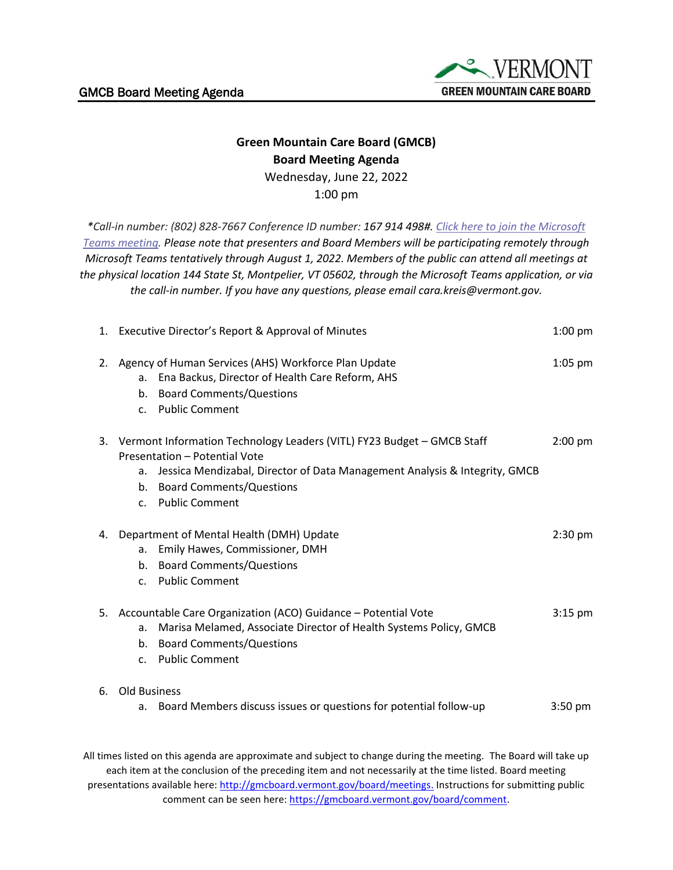

## **Green Mountain Care Board (GMCB) Board Meeting Agenda** Wednesday, June 22, 2022

1:00 pm

*\*Call-in number: (802) 828-7667 Conference ID number: 167 914 498#. [Click here to join the Microsoft](https://teams.microsoft.com/l/meetup-join/19%3ameeting_YjgyNTMzN2YtZTUzOC00YjljLThhNWUtYzVhOGM0ZmM2YTNl%40thread.v2/0?context=%7b%22Tid%22%3a%2220b4933b-baad-433c-9c02-70edcc7559c6%22%2c%22Oid%22%3a%2263d3547f-e4c1-4857-ba9b-7340463e85f4%22%7d)  [Teams meeting.](https://teams.microsoft.com/l/meetup-join/19%3ameeting_YjgyNTMzN2YtZTUzOC00YjljLThhNWUtYzVhOGM0ZmM2YTNl%40thread.v2/0?context=%7b%22Tid%22%3a%2220b4933b-baad-433c-9c02-70edcc7559c6%22%2c%22Oid%22%3a%2263d3547f-e4c1-4857-ba9b-7340463e85f4%22%7d) Please note that presenters and Board Members will be participating remotely through Microsoft Teams tentatively through August 1, 2022. Members of the public can attend all meetings at the physical location 144 State St, Montpelier, VT 05602, through the Microsoft Teams application, or via the call-in number. If you have any questions, please email cara.kreis@vermont.gov.*

|    | 1. Executive Director's Report & Approval of Minutes                                                                                                                                                                                               | $1:00$ pm |
|----|----------------------------------------------------------------------------------------------------------------------------------------------------------------------------------------------------------------------------------------------------|-----------|
| 2. | Agency of Human Services (AHS) Workforce Plan Update<br>Ena Backus, Director of Health Care Reform, AHS<br>a.<br><b>Board Comments/Questions</b><br>b.<br>c. Public Comment                                                                        | $1:05$ pm |
|    | 3. Vermont Information Technology Leaders (VITL) FY23 Budget - GMCB Staff<br>Presentation - Potential Vote<br>Jessica Mendizabal, Director of Data Management Analysis & Integrity, GMCB<br>a.<br>b. Board Comments/Questions<br>c. Public Comment | $2:00$ pm |
|    | 4. Department of Mental Health (DMH) Update<br>Emily Hawes, Commissioner, DMH<br>а.<br>b. Board Comments/Questions<br>c. Public Comment                                                                                                            | $2:30$ pm |
|    | 5. Accountable Care Organization (ACO) Guidance - Potential Vote<br>Marisa Melamed, Associate Director of Health Systems Policy, GMCB<br>a.<br><b>Board Comments/Questions</b><br>b.<br>c. Public Comment                                          | $3:15$ pm |
| 6. | Old Business<br>a. Board Members discuss issues or questions for potential follow-up                                                                                                                                                               | $3:50$ pm |

All times listed on this agenda are approximate and subject to change during the meeting. The Board will take up each item at the conclusion of the preceding item and not necessarily at the time listed. Board meeting presentations available here: [http://gmcboard.vermont.gov/board/meetings.](http://gmcboard.vermont.gov/board/meetings) Instructions for submitting public comment can be seen here: [https://gmcboard.vermont.gov/board/comment.](https://gmcboard.vermont.gov/board/comment)